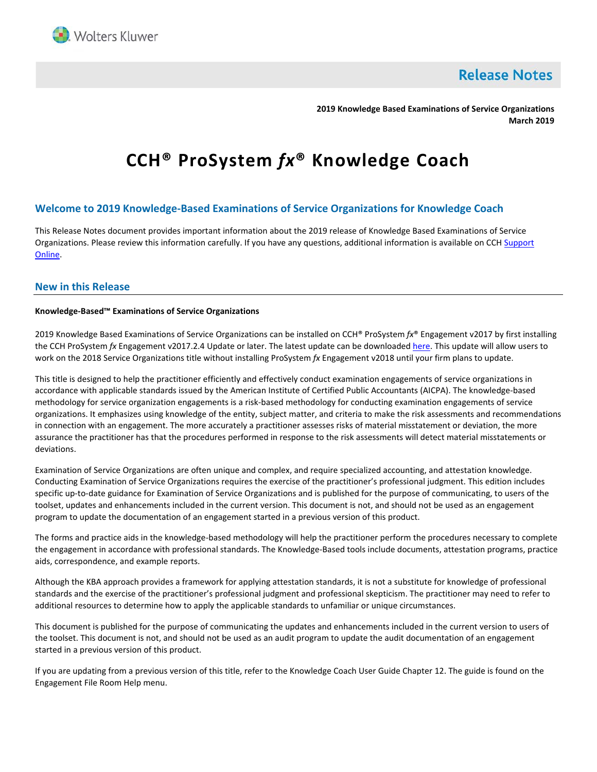

**Release Notes** 

**2019 Knowledge Based Examinations of Service Organizations March 2019**

# **CCH® ProSystem** *fx***® Knowledge Coach**

# **Welcome to 2019 Knowledge-Based Examinations of Service Organizations for Knowledge Coach**

This Release Notes document provides important information about the 2019 release of Knowledge Based Examinations of Service Organizations. Please review this information carefully. If you have any questions, additional information is available on CCH Support [Online.](http://support.cch.com/productsupport/)

## **New in this Release**

#### **Knowledge-Based™ Examinations of Service Organizations**

2019 Knowledge Based Examinations of Service Organizations can be installed on CCH® ProSystem *fx*® Engagement v2017 by first installing the CCH ProSystem *fx* Engagement v2017.2.4 Update or later. The latest update can be downloade[d here.](https://support.cch.com/updates/Engagement/release2017/release2017.aspx) This update will allow users to work on the 2018 Service Organizations title without installing ProSystem *fx* Engagement v2018 until your firm plans to update.

This title is designed to help the practitioner efficiently and effectively conduct examination engagements of service organizations in accordance with applicable standards issued by the American Institute of Certified Public Accountants (AICPA). The knowledge-based methodology for service organization engagements is a risk-based methodology for conducting examination engagements of service organizations. It emphasizes using knowledge of the entity, subject matter, and criteria to make the risk assessments and recommendations in connection with an engagement. The more accurately a practitioner assesses risks of material misstatement or deviation, the more assurance the practitioner has that the procedures performed in response to the risk assessments will detect material misstatements or deviations.

Examination of Service Organizations are often unique and complex, and require specialized accounting, and attestation knowledge. Conducting Examination of Service Organizations requires the exercise of the practitioner's professional judgment. This edition includes specific up-to-date guidance for Examination of Service Organizations and is published for the purpose of communicating, to users of the toolset, updates and enhancements included in the current version. This document is not, and should not be used as an engagement program to update the documentation of an engagement started in a previous version of this product.

The forms and practice aids in the knowledge-based methodology will help the practitioner perform the procedures necessary to complete the engagement in accordance with professional standards. The Knowledge-Based tools include documents, attestation programs, practice aids, correspondence, and example reports.

Although the KBA approach provides a framework for applying attestation standards, it is not a substitute for knowledge of professional standards and the exercise of the practitioner's professional judgment and professional skepticism. The practitioner may need to refer to additional resources to determine how to apply the applicable standards to unfamiliar or unique circumstances.

This document is published for the purpose of communicating the updates and enhancements included in the current version to users of the toolset. This document is not, and should not be used as an audit program to update the audit documentation of an engagement started in a previous version of this product.

If you are updating from a previous version of this title, refer to the Knowledge Coach User Guide Chapter 12. The guide is found on the Engagement File Room Help menu.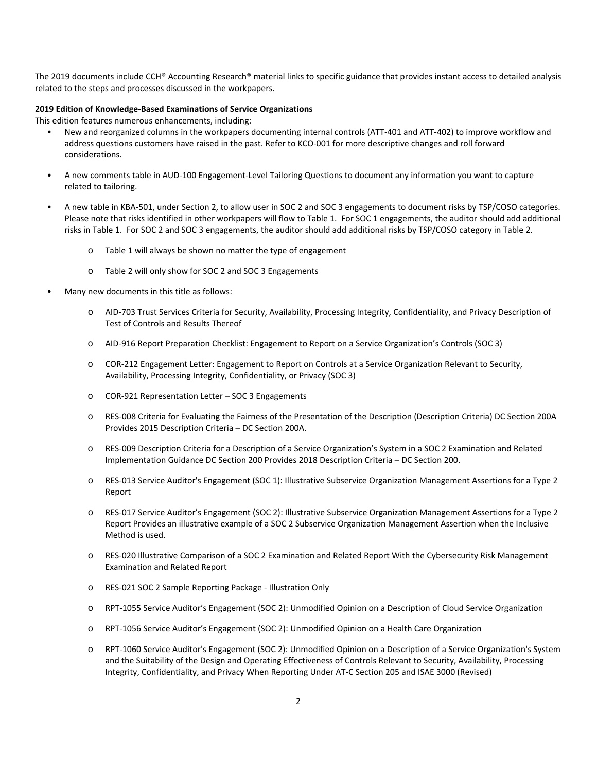The 2019 documents include CCH® Accounting Research® material links to specific guidance that provides instant access to detailed analysis related to the steps and processes discussed in the workpapers.

## **2019 Edition of Knowledge-Based Examinations of Service Organizations**

This edition features numerous enhancements, including:

- New and reorganized columns in the workpapers documenting internal controls (ATT-401 and ATT-402) to improve workflow and address questions customers have raised in the past. Refer to KCO-001 for more descriptive changes and roll forward considerations.
- A new comments table in AUD-100 Engagement-Level Tailoring Questions to document any information you want to capture related to tailoring.
- A new table in KBA-501, under Section 2, to allow user in SOC 2 and SOC 3 engagements to document risks by TSP/COSO categories. Please note that risks identified in other workpapers will flow to Table 1. For SOC 1 engagements, the auditor should add additional risks in Table 1. For SOC 2 and SOC 3 engagements, the auditor should add additional risks by TSP/COSO category in Table 2.
	- o Table 1 will always be shown no matter the type of engagement
	- o Table 2 will only show for SOC 2 and SOC 3 Engagements
- Many new documents in this title as follows:
	- o AID-703 Trust Services Criteria for Security, Availability, Processing Integrity, Confidentiality, and Privacy Description of Test of Controls and Results Thereof
	- o AID-916 Report Preparation Checklist: Engagement to Report on a Service Organization's Controls (SOC 3)
	- o COR-212 Engagement Letter: Engagement to Report on Controls at a Service Organization Relevant to Security, Availability, Processing Integrity, Confidentiality, or Privacy (SOC 3)
	- o COR-921 Representation Letter SOC 3 Engagements
	- o RES-008 Criteria for Evaluating the Fairness of the Presentation of the Description (Description Criteria) DC Section 200A Provides 2015 Description Criteria – DC Section 200A.
	- o RES-009 Description Criteria for a Description of a Service Organization's System in a SOC 2 Examination and Related Implementation Guidance DC Section 200 Provides 2018 Description Criteria – DC Section 200.
	- o RES-013 Service Auditor's Engagement (SOC 1): Illustrative Subservice Organization Management Assertions for a Type 2 Report
	- o RES-017 Service Auditor's Engagement (SOC 2): Illustrative Subservice Organization Management Assertions for a Type 2 Report Provides an illustrative example of a SOC 2 Subservice Organization Management Assertion when the Inclusive Method is used.
	- o RES-020 Illustrative Comparison of a SOC 2 Examination and Related Report With the Cybersecurity Risk Management Examination and Related Report
	- o RES-021 SOC 2 Sample Reporting Package Illustration Only
	- o RPT-1055 Service Auditor's Engagement (SOC 2): Unmodified Opinion on a Description of Cloud Service Organization
	- o RPT-1056 Service Auditor's Engagement (SOC 2): Unmodified Opinion on a Health Care Organization
	- o RPT-1060 Service Auditor's Engagement (SOC 2): Unmodified Opinion on a Description of a Service Organization's System and the Suitability of the Design and Operating Effectiveness of Controls Relevant to Security, Availability, Processing Integrity, Confidentiality, and Privacy When Reporting Under AT-C Section 205 and ISAE 3000 (Revised)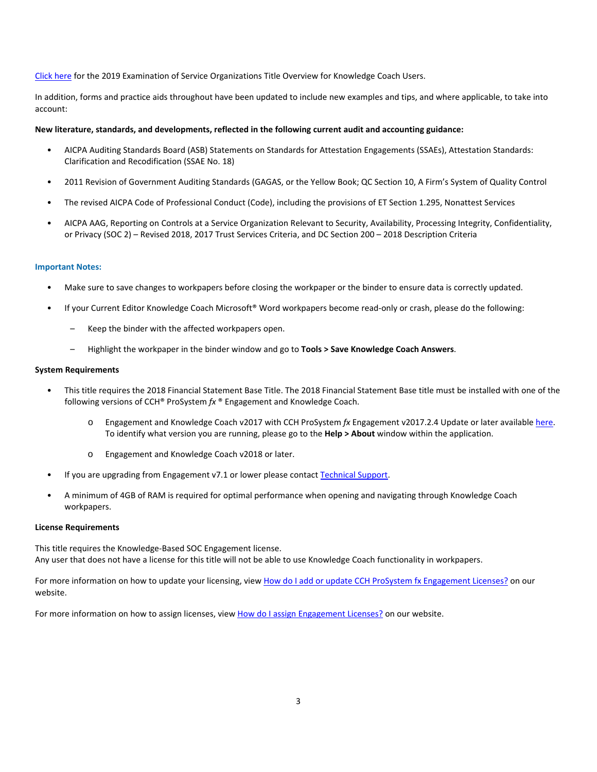[Click here](http://support.cch.com/updates/KnowledgeCoach/pdf/guides_tab/2019%20Service%20Organizations%20Title%20Overview%20for%20Knowledge%20Coach%20Users.pdf) for the 2019 Examination of Service Organizations Title Overview for Knowledge Coach Users.

In addition, forms and practice aids throughout have been updated to include new examples and tips, and where applicable, to take into account:

## **New literature, standards, and developments, reflected in the following current audit and accounting guidance:**

- AICPA Auditing Standards Board (ASB) Statements on Standards for Attestation Engagements (SSAEs), Attestation Standards: Clarification and Recodification (SSAE No. 18)
- 2011 Revision of Government Auditing Standards (GAGAS, or the Yellow Book; QC Section 10, A Firm's System of Quality Control
- The revised AICPA Code of Professional Conduct (Code), including the provisions of ET Section 1.295, Nonattest Services
- AICPA AAG, Reporting on Controls at a Service Organization Relevant to Security, Availability, Processing Integrity, Confidentiality, or Privacy (SOC 2) – Revised 2018, 2017 Trust Services Criteria, and DC Section 200 – 2018 Description Criteria

#### **Important Notes:**

- Make sure to save changes to workpapers before closing the workpaper or the binder to ensure data is correctly updated.
- If your Current Editor Knowledge Coach Microsoft® Word workpapers become read-only or crash, please do the following:
	- Keep the binder with the affected workpapers open.
	- Highlight the workpaper in the binder window and go to **Tools > Save Knowledge Coach Answers**.

#### **System Requirements**

- This title requires the 2018 Financial Statement Base Title. The 2018 Financial Statement Base title must be installed with one of the following versions of CCH® ProSystem *fx* ® Engagement and Knowledge Coach.
	- o Engagement and Knowledge Coach v2017 with CCH ProSystem *fx* Engagement v2017.2.4 Update or later availabl[e here.](https://support.cch.com/updates/Engagement/release2017/release2017.aspx)  To identify what version you are running, please go to the **Help > About** window within the application.
	- o Engagement and Knowledge Coach v2018 or later.
- If you are upgrading from Engagement v7.1 or lower please contac[t Technical Support.](https://support.cch.com/contact)
- A minimum of 4GB of RAM is required for optimal performance when opening and navigating through Knowledge Coach workpapers.

#### **License Requirements**

This title requires the Knowledge-Based SOC Engagement license. Any user that does not have a license for this title will not be able to use Knowledge Coach functionality in workpapers.

For more information on how to update your licensing, vie[w How do I add or update CCH ProSystem fx Engagement Licenses?](https://support.cch.com/kb/solution.aspx/sw3937) on our website.

For more information on how to assign licenses, view [How do I assign Engagement Licenses?](https://support.cch.com/kb/solution.aspx/sw3943) on our website.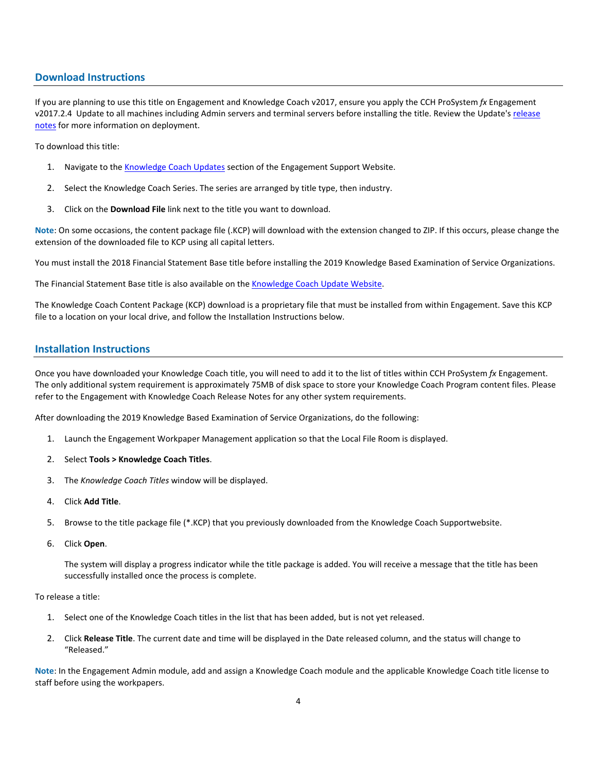# **Download Instructions**

If you are planning to use this title on Engagement and Knowledge Coach v2017, ensure you apply the CCH ProSystem *fx* Engagement v2017.2.4 Update to all machines including Admin servers and terminal servers before installing the title. Review the Update'[s release](https://d2iceilwdglxpz.cloudfront.net/release_notes/CCH%20ProSystem%20fx%20Engagement%20Release%20Notes%202017.2.4.pdf)  [notes](https://d2iceilwdglxpz.cloudfront.net/release_notes/CCH%20ProSystem%20fx%20Engagement%20Release%20Notes%202017.2.4.pdf) for more information on deployment.

To download this title:

- 1. Navigate to the [Knowledge Coach Updates](http://support.cch.com/updates/KnowledgeCoach) section of the Engagement Support Website.
- 2. Select the Knowledge Coach Series. The series are arranged by title type, then industry.
- 3. Click on the **Download File** link next to the title you want to download.

**Note**: On some occasions, the content package file (.KCP) will download with the extension changed to ZIP. If this occurs, please change the extension of the downloaded file to KCP using all capital letters.

You must install the 2018 Financial Statement Base title before installing the 2019 Knowledge Based Examination of Service Organizations.

The Financial Statement Base title is also available on th[e Knowledge Coach Update Website.](http://support.cch.com/updates/KnowledgeCoach)

The Knowledge Coach Content Package (KCP) download is a proprietary file that must be installed from within Engagement. Save this KCP file to a location on your local drive, and follow the Installation Instructions below.

# **Installation Instructions**

Once you have downloaded your Knowledge Coach title, you will need to add it to the list of titles within CCH ProSystem *fx* Engagement. The only additional system requirement is approximately 75MB of disk space to store your Knowledge Coach Program content files. Please refer to the Engagement with Knowledge Coach Release Notes for any other system requirements.

After downloading the 2019 Knowledge Based Examination of Service Organizations, do the following:

- 1. Launch the Engagement Workpaper Management application so that the Local File Room is displayed.
- 2. Select **Tools > Knowledge Coach Titles**.
- 3. The *Knowledge Coach Titles* window will be displayed.
- 4. Click **Add Title**.
- 5. Browse to the title package file (\*.KCP) that you previously downloaded from the Knowledge Coach Supportwebsite.
- 6. Click **Open**.

The system will display a progress indicator while the title package is added. You will receive a message that the title has been successfully installed once the process is complete.

#### To release a title:

- 1. Select one of the Knowledge Coach titles in the list that has been added, but is not yet released.
- 2. Click **Release Title**. The current date and time will be displayed in the Date released column, and the status will change to "Released."

**Note**: In the Engagement Admin module, add and assign a Knowledge Coach module and the applicable Knowledge Coach title license to staff before using the workpapers.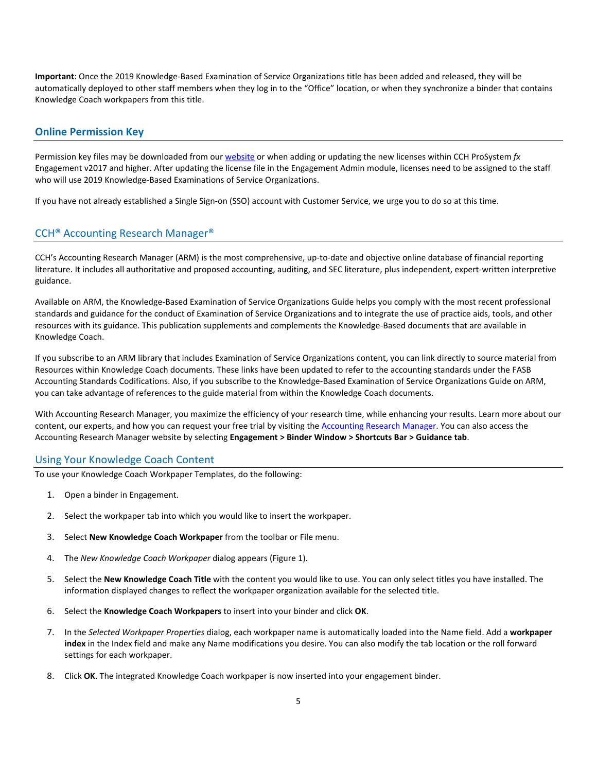**Important**: Once the 2019 Knowledge-Based Examination of Service Organizations title has been added and released, they will be automatically deployed to other staff members when they log in to the "Office" location, or when they synchronize a binder that contains Knowledge Coach workpapers from this title.

## **Online Permission Key**

Permission key files may be downloaded from our [website](https://prosystemfxsupport.tax.cchgroup.com/permkey/download.aspx) or when adding or updating the new licenses within CCH ProSystem *fx* Engagement v2017 and higher. After updating the license file in the Engagement Admin module, licenses need to be assigned to the staff who will use 2019 Knowledge-Based Examinations of Service Organizations.

If you have not already established a Single Sign-on (SSO) account with Customer Service, we urge you to do so at this time.

### CCH® Accounting Research Manager®

CCH's Accounting Research Manager (ARM) is the most comprehensive, up-to-date and objective online database of financial reporting literature. It includes all authoritative and proposed accounting, auditing, and SEC literature, plus independent, expert-written interpretive guidance.

Available on ARM, the Knowledge-Based Examination of Service Organizations Guide helps you comply with the most recent professional standards and guidance for the conduct of Examination of Service Organizations and to integrate the use of practice aids, tools, and other resources with its guidance. This publication supplements and complements the Knowledge-Based documents that are available in Knowledge Coach.

If you subscribe to an ARM library that includes Examination of Service Organizations content, you can link directly to source material from Resources within Knowledge Coach documents. These links have been updated to refer to the accounting standards under the FASB Accounting Standards Codifications. Also, if you subscribe to the Knowledge-Based Examination of Service Organizations Guide on ARM, you can take advantage of references to the guide material from within the Knowledge Coach documents.

With Accounting Research Manager, you maximize the efficiency of your research time, while enhancing your results. Learn more about our content, our experts, and how you can request your free trial by visiting the [Accounting Research Manager.](http://www.accountingresearchmanager.com/) You can also access the Accounting Research Manager website by selecting **Engagement > Binder Window > Shortcuts Bar > Guidance tab**.

## Using Your Knowledge Coach Content

To use your Knowledge Coach Workpaper Templates, do the following:

- 1. Open a binder in Engagement.
- 2. Select the workpaper tab into which you would like to insert the workpaper.
- 3. Select **New Knowledge Coach Workpaper** from the toolbar or File menu.
- 4. The *New Knowledge Coach Workpaper* dialog appears (Figure 1).
- 5. Select the **New Knowledge Coach Title** with the content you would like to use. You can only select titles you have installed. The information displayed changes to reflect the workpaper organization available for the selected title.
- 6. Select the **Knowledge Coach Workpapers** to insert into your binder and click **OK**.
- 7. In the *Selected Workpaper Properties* dialog, each workpaper name is automatically loaded into the Name field. Add a **workpaper index** in the Index field and make any Name modifications you desire. You can also modify the tab location or the roll forward settings for each workpaper.
- 8. Click **OK**. The integrated Knowledge Coach workpaper is now inserted into your engagement binder.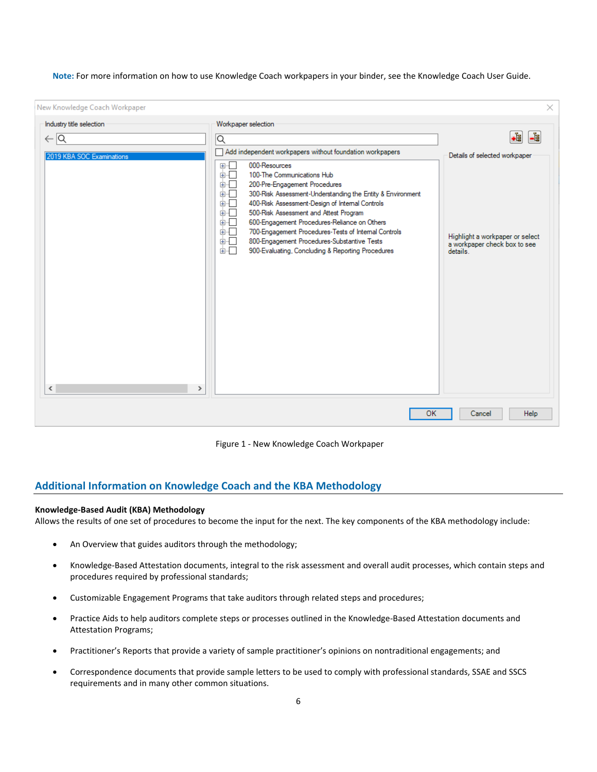**Note:** For more information on how to use Knowledge Coach workpapers in your binder, see the Knowledge Coach User Guide.

| New Knowledge Coach Workpaper                                     |                                                                                                                                                                                                                                                                                                                                                                                                                                                                                                                                                                                   | ×                                                                                                            |
|-------------------------------------------------------------------|-----------------------------------------------------------------------------------------------------------------------------------------------------------------------------------------------------------------------------------------------------------------------------------------------------------------------------------------------------------------------------------------------------------------------------------------------------------------------------------------------------------------------------------------------------------------------------------|--------------------------------------------------------------------------------------------------------------|
| Industry title selection                                          | Workpaper selection                                                                                                                                                                                                                                                                                                                                                                                                                                                                                                                                                               | +å<br>Lg.                                                                                                    |
| $\leftarrow$ $\overline{\mathsf{Q}}$<br>2019 KBA SOC Examinations | ∣Q<br>Add independent workpapers without foundation workpapers<br>国际<br>000-Resources<br>100-The Communications Hub<br>面「<br>面叫<br>200-Pre-Engagement Procedures<br>面板<br>300-Risk Assessment-Understanding the Entity & Environment<br>面板<br>400-Risk Assessment-Design of Internal Controls<br>500-Risk Assessment and Attest Program<br>面。<br>600-Engagement Procedures-Reliance on Others<br>面吧<br>面一<br>700-Engagement Procedures-Tests of Internal Controls<br>800-Engagement Procedures-Substantive Tests<br>面面<br>面口<br>900-Evaluating, Concluding & Reporting Procedures | Details of selected workpaper<br>Highlight a workpaper or select<br>a workpaper check box to see<br>details. |
| $\leq$<br>$\rightarrow$                                           |                                                                                                                                                                                                                                                                                                                                                                                                                                                                                                                                                                                   |                                                                                                              |
|                                                                   | <b>OK</b>                                                                                                                                                                                                                                                                                                                                                                                                                                                                                                                                                                         | Cancel<br>Help                                                                                               |

Figure 1 - New Knowledge Coach Workpaper

# **Additional Information on Knowledge Coach and the KBA Methodology**

#### **Knowledge-Based Audit (KBA) Methodology**

Allows the results of one set of procedures to become the input for the next. The key components of the KBA methodology include:

- An Overview that guides auditors through the methodology;
- Knowledge-Based Attestation documents, integral to the risk assessment and overall audit processes, which contain steps and procedures required by professional standards;
- Customizable Engagement Programs that take auditors through related steps and procedures;
- Practice Aids to help auditors complete steps or processes outlined in the Knowledge-Based Attestation documents and Attestation Programs;
- Practitioner's Reports that provide a variety of sample practitioner's opinions on nontraditional engagements; and
- Correspondence documents that provide sample letters to be used to comply with professional standards, SSAE and SSCS requirements and in many other common situations.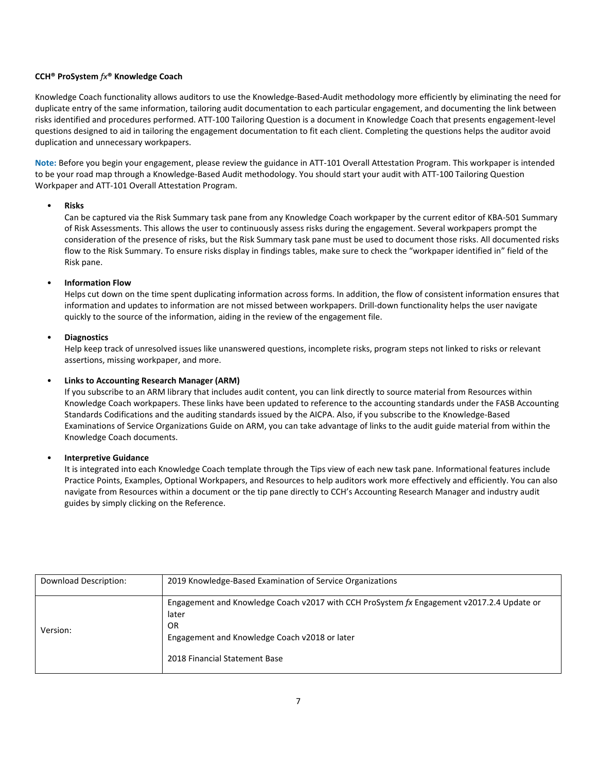## **CCH® ProSystem** *fx***® Knowledge Coach**

Knowledge Coach functionality allows auditors to use the Knowledge-Based-Audit methodology more efficiently by eliminating the need for duplicate entry of the same information, tailoring audit documentation to each particular engagement, and documenting the link between risks identified and procedures performed. ATT-100 Tailoring Question is a document in Knowledge Coach that presents engagement-level questions designed to aid in tailoring the engagement documentation to fit each client. Completing the questions helps the auditor avoid duplication and unnecessary workpapers.

**Note:** Before you begin your engagement, please review the guidance in ATT-101 Overall Attestation Program. This workpaper is intended to be your road map through a Knowledge-Based Audit methodology. You should start your audit with ATT-100 Tailoring Question Workpaper and ATT-101 Overall Attestation Program.

## • **Risks**

Can be captured via the Risk Summary task pane from any Knowledge Coach workpaper by the current editor of KBA-501 Summary of Risk Assessments. This allows the user to continuously assess risks during the engagement. Several workpapers prompt the consideration of the presence of risks, but the Risk Summary task pane must be used to document those risks. All documented risks flow to the Risk Summary. To ensure risks display in findings tables, make sure to check the "workpaper identified in" field of the Risk pane.

## • **Information Flow**

Helps cut down on the time spent duplicating information across forms. In addition, the flow of consistent information ensures that information and updates to information are not missed between workpapers. Drill-down functionality helps the user navigate quickly to the source of the information, aiding in the review of the engagement file.

## • **Diagnostics**

Help keep track of unresolved issues like unanswered questions, incomplete risks, program steps not linked to risks or relevant assertions, missing workpaper, and more.

## • **Links to Accounting Research Manager (ARM)**

If you subscribe to an ARM library that includes audit content, you can link directly to source material from Resources within Knowledge Coach workpapers. These links have been updated to reference to the accounting standards under the FASB Accounting Standards Codifications and the auditing standards issued by the AICPA. Also, if you subscribe to the Knowledge-Based Examinations of Service Organizations Guide on ARM, you can take advantage of links to the audit guide material from within the Knowledge Coach documents.

## • **Interpretive Guidance**

It is integrated into each Knowledge Coach template through the Tips view of each new task pane. Informational features include Practice Points, Examples, Optional Workpapers, and Resources to help auditors work more effectively and efficiently. You can also navigate from Resources within a document or the tip pane directly to CCH's Accounting Research Manager and industry audit guides by simply clicking on the Reference.

| Download Description: | 2019 Knowledge-Based Examination of Service Organizations                                                                                                                                  |
|-----------------------|--------------------------------------------------------------------------------------------------------------------------------------------------------------------------------------------|
| Version:              | Engagement and Knowledge Coach v2017 with CCH ProSystem fx Engagement v2017.2.4 Update or<br>later<br>0R<br>Engagement and Knowledge Coach v2018 or later<br>2018 Financial Statement Base |